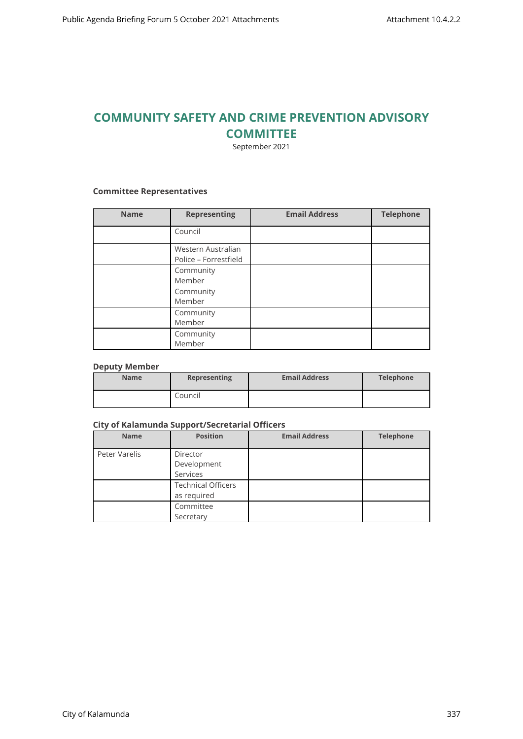# **COMMUNITY SAFETY AND CRIME PREVENTION ADVISORY COMMITTEE**

September 2021

# **Committee Representatives**

| <b>Name</b> | <b>Representing</b>                         | <b>Email Address</b> | <b>Telephone</b> |
|-------------|---------------------------------------------|----------------------|------------------|
|             | Council                                     |                      |                  |
|             | Western Australian<br>Police - Forrestfield |                      |                  |
|             | Community<br>Member                         |                      |                  |
|             | Community<br>Member                         |                      |                  |
|             | Community<br>Member                         |                      |                  |
|             | Community<br>Member                         |                      |                  |

#### **Deputy Member**

| <b>Name</b> | Representing | <b>Email Address</b> | Telephone |
|-------------|--------------|----------------------|-----------|
|             | Council      |                      |           |

#### **City of Kalamunda Support/Secretarial Officers**

| <b>Name</b>   | <b>Position</b>                          | <b>Email Address</b> | <b>Telephone</b> |
|---------------|------------------------------------------|----------------------|------------------|
| Peter Varelis | Director<br>Development<br>Services      |                      |                  |
|               | <b>Technical Officers</b><br>as required |                      |                  |
|               | Committee<br>Secretary                   |                      |                  |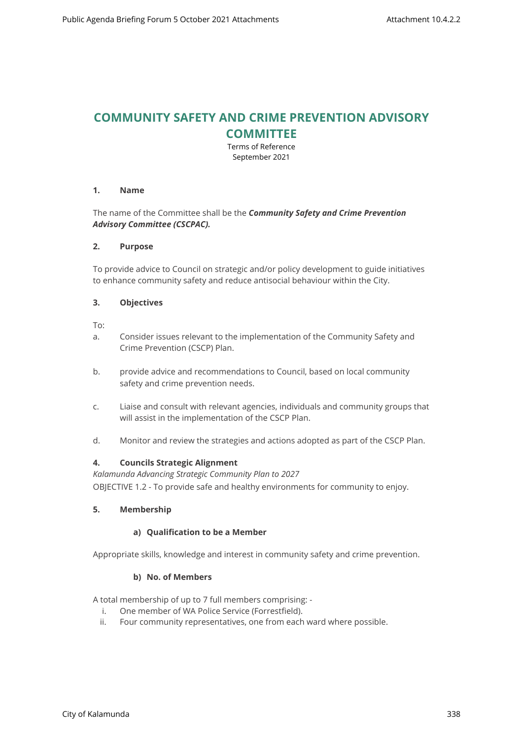# **COMMUNITY SAFETY AND CRIME PREVENTION ADVISORY COMMITTEE**

Terms of Reference September 2021

# **1. Name**

# The name of the Committee shall be the *Community Safety and Crime Prevention Advisory Committee (CSCPAC).*

# **2. Purpose**

To provide advice to Council on strategic and/or policy development to guide initiatives to enhance community safety and reduce antisocial behaviour within the City.

# **3. Objectives**

To:

- a. Consider issues relevant to the implementation of the Community Safety and Crime Prevention (CSCP) Plan.
- b. provide advice and recommendations to Council, based on local community safety and crime prevention needs.
- c. Liaise and consult with relevant agencies, individuals and community groups that will assist in the implementation of the CSCP Plan.
- d. Monitor and review the strategies and actions adopted as part of the CSCP Plan.

# **4. Councils Strategic Alignment**

*Kalamunda Advancing Strategic Community Plan to 2027*  OBJECTIVE 1.2 - To provide safe and healthy environments for community to enjoy.

# **5. Membership**

# **a) Qualification to be a Member**

Appropriate skills, knowledge and interest in community safety and crime prevention.

# **b) No. of Members**

A total membership of up to 7 full members comprising: -

- i. One member of WA Police Service (Forrestfield).
- ii. Four community representatives, one from each ward where possible.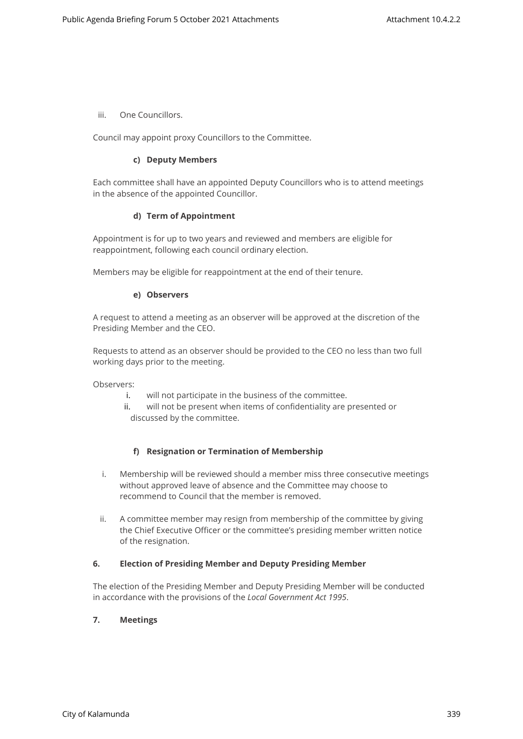iii. One Councillors.

Council may appoint proxy Councillors to the Committee.

#### **c) Deputy Members**

Each committee shall have an appointed Deputy Councillors who is to attend meetings in the absence of the appointed Councillor.

#### **d) Term of Appointment**

Appointment is for up to two years and reviewed and members are eligible for reappointment, following each council ordinary election.

Members may be eligible for reappointment at the end of their tenure.

#### **e) Observers**

A request to attend a meeting as an observer will be approved at the discretion of the Presiding Member and the CEO.

Requests to attend as an observer should be provided to the CEO no less than two full working days prior to the meeting.

Observers:

- i. will not participate in the business of the committee.
- ii. will not be present when items of confidentiality are presented or discussed by the committee.

# **f) Resignation or Termination of Membership**

- i. Membership will be reviewed should a member miss three consecutive meetings without approved leave of absence and the Committee may choose to recommend to Council that the member is removed.
- ii. A committee member may resign from membership of the committee by giving the Chief Executive Officer or the committee's presiding member written notice of the resignation.

# **6. Election of Presiding Member and Deputy Presiding Member**

The election of the Presiding Member and Deputy Presiding Member will be conducted in accordance with the provisions of the *Local Government Act 1995*.

# **7. Meetings**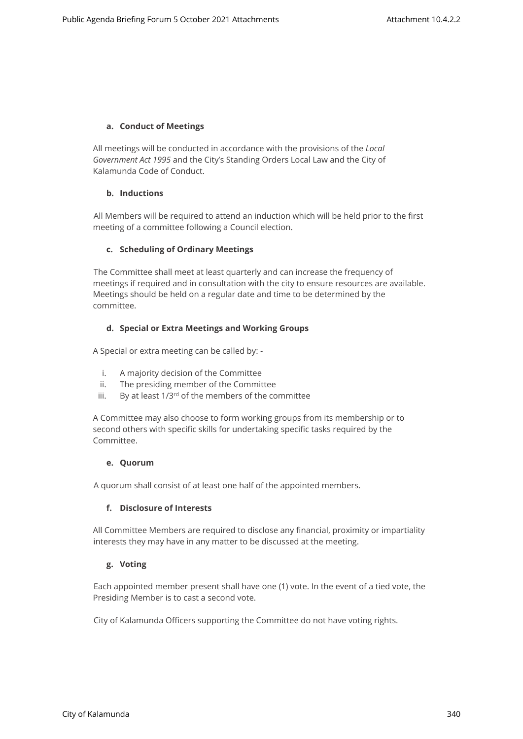# **a. Conduct of Meetings**

All meetings will be conducted in accordance with the provisions of the *Local Government Act 1995* and the City's Standing Orders Local Law and the City of Kalamunda Code of Conduct.

# **b. Inductions**

All Members will be required to attend an induction which will be held prior to the first meeting of a committee following a Council election.

# **c. Scheduling of Ordinary Meetings**

The Committee shall meet at least quarterly and can increase the frequency of meetings if required and in consultation with the city to ensure resources are available. Meetings should be held on a regular date and time to be determined by the committee.

# **d. Special or Extra Meetings and Working Groups**

A Special or extra meeting can be called by: -

- i. A majority decision of the Committee
- ii. The presiding member of the Committee
- iii. By at least 1/3<sup>rd</sup> of the members of the committee

A Committee may also choose to form working groups from its membership or to second others with specific skills for undertaking specific tasks required by the Committee.

# **e. Quorum**

A quorum shall consist of at least one half of the appointed members.

# **f. Disclosure of Interests**

All Committee Members are required to disclose any financial, proximity or impartiality interests they may have in any matter to be discussed at the meeting.

# **g. Voting**

Each appointed member present shall have one (1) vote. In the event of a tied vote, the Presiding Member is to cast a second vote.

City of Kalamunda Officers supporting the Committee do not have voting rights.